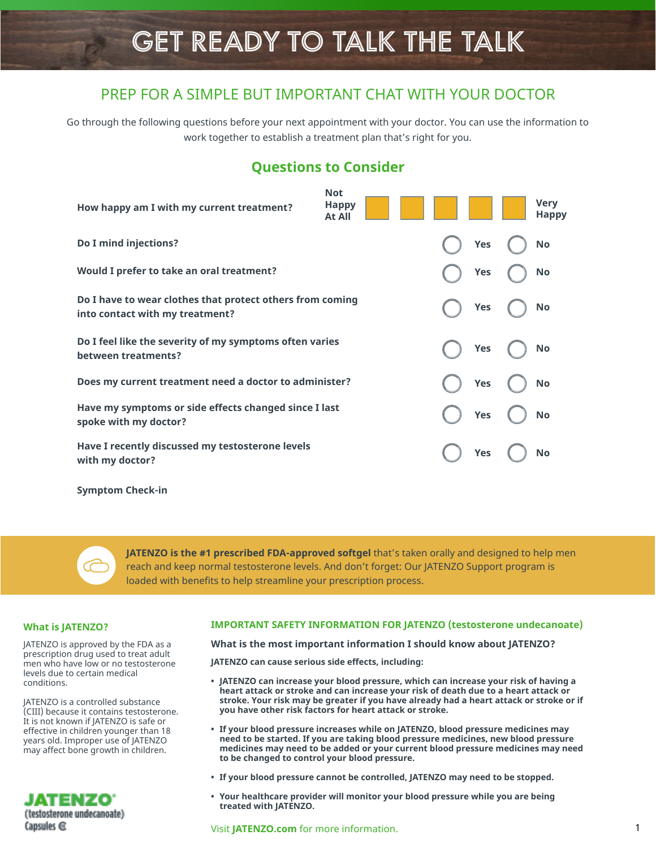# GET READY TO TALK THE TALK

## PREP FOR A SIMPLE BUT IMPORTANT CHAT WITH YOUR DOCTOR

Go through the following questions before your next appointment with your doctor. You can use the information to work together to establish a treatment plan that's right for you.

# **Questions to Consider**

| How happy am I with my current treatment?                                                    | <b>Not</b><br><b>Happy</b><br><b>At All</b> |  |            | <b>Very</b><br><b>Happy</b> |
|----------------------------------------------------------------------------------------------|---------------------------------------------|--|------------|-----------------------------|
| Do I mind injections?                                                                        |                                             |  | <b>Yes</b> | <b>No</b>                   |
| Would I prefer to take an oral treatment?                                                    |                                             |  | Yes        | No                          |
| Do I have to wear clothes that protect others from coming<br>into contact with my treatment? |                                             |  | Yes        | No                          |
| Do I feel like the severity of my symptoms often varies<br>between treatments?               |                                             |  | <b>Yes</b> | No                          |
| Does my current treatment need a doctor to administer?                                       |                                             |  | <b>Yes</b> | <b>No</b>                   |
| Have my symptoms or side effects changed since I last<br>spoke with my doctor?               |                                             |  | Yes        | <b>No</b>                   |
| Have I recently discussed my testosterone levels<br>with my doctor?                          |                                             |  | <b>Yes</b> | <b>No</b>                   |
|                                                                                              |                                             |  |            |                             |

**Symptom Check-in**

**JATENZO is the #1 prescribed FDA-approved softgel** that's taken orally and designed to help men reach and keep normal testosterone levels. And don't forget: Our JATENZO Support program is loaded with benefits to help streamline your prescription process.

prescription drug used to treat adult men who have low or no testosterone levels due to certain medical conditions.

JATENZO is a controlled substance (CIII) because it contains testosterone. It is not known if JATENZO is safe or effective in children younger than 18 years old. Improper use of JATENZO may affect bone growth in children.



#### **What is JATENZO? IMPORTANT SAFETY INFORMATION FOR JATENZO (testosterone undecanoate)**

JATENZO is approved by the FDA as a **What is the most important information I should know about JATENZO?**

**JATENZO can cause serious side effects, including:**

- **• JATENZO can increase your blood pressure, which can increase your risk of having a heart attack or stroke and can increase your risk of death due to a heart attack or stroke. Your risk may be greater if you have already had a heart attack or stroke or if you have other risk factors for heart attack or stroke.**
- **• If your blood pressure increases while on JATENZO, blood pressure medicines may need to be started. If you are taking blood pressure medicines, new blood pressure medicines may need to be added or your current blood pressure medicines may need to be changed to control your blood pressure.**
- **• If your blood pressure cannot be controlled, JATENZO may need to be stopped.**
- **• Your healthcare provider will monitor your blood pressure while you are being treated with JATENZO.**

Visit **JATENZO.com** [for more information.](https://www.jatenzo.com/)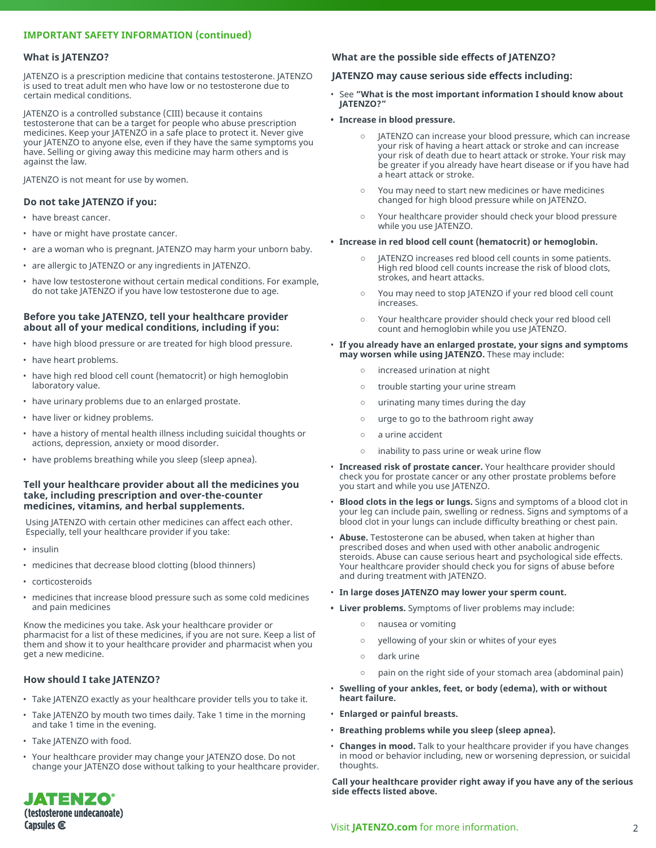#### **IMPORTANT SAFETY INFORMATION (continued)**

#### **What is JATENZO?**

JATENZO is a prescription medicine that contains testosterone. JATENZO is used to treat adult men who have low or no testosterone due to certain medical conditions.

JATENZO is a controlled substance (CIII) because it contains testosterone that can be a target for people who abuse prescription medicines. Keep your JATENZO in a safe place to protect it. Never give your JATENZO to anyone else, even if they have the same symptoms you have. Selling or giving away this medicine may harm others and is against the law.

JATENZO is not meant for use by women.

#### **Do not take JATENZO if you:**

- have breast cancer.
- have or might have prostate cancer.
- are a woman who is pregnant. JATENZO may harm your unborn baby.
- are allergic to JATENZO or any ingredients in JATENZO.
- have low testosterone without certain medical conditions. For example, do not take JATENZO if you have low testosterone due to age.

#### **Before you take JATENZO, tell your healthcare provider about all of your medical conditions, including if you:**

- have high blood pressure or are treated for high blood pressure.
- have heart problems.
- have high red blood cell count (hematocrit) or high hemoglobin laboratory value.
- have urinary problems due to an enlarged prostate.
- have liver or kidney problems.
- have a history of mental health illness including suicidal thoughts or actions, depression, anxiety or mood disorder.
- have problems breathing while you sleep (sleep apnea).

#### **Tell your healthcare provider about all the medicines you take, including prescription and over-the-counter medicines, vitamins, and herbal supplements.**

Using JATENZO with certain other medicines can affect each other. Especially, tell your healthcare provider if you take:

- insulin
- medicines that decrease blood clotting (blood thinners)
- corticosteroids
- medicines that increase blood pressure such as some cold medicines and pain medicines

Know the medicines you take. Ask your healthcare provider or pharmacist for a list of these medicines, if you are not sure. Keep a list of them and show it to your healthcare provider and pharmacist when you get a new medicine.

#### **How should I take JATENZO?**

- Take JATENZO exactly as your healthcare provider tells you to take it.
- Take JATENZO by mouth two times daily. Take 1 time in the morning and take 1 time in the evening.
- Take JATENZO with food.

JATENZO® (testosterone undecanoate)

Capsules  $<sup>•</sup>$ </sup>

• Your healthcare provider may change your JATENZO dose. Do not change your JATENZO dose without talking to your healthcare provider.

#### **What are the possible side effects of JATENZO?**

#### **JATENZO may cause serious side effects including:**

- See **"What is the most important information I should know about JATENZO?"**
- **Increase in blood pressure.**
	- JATENZO can increase your blood pressure, which can increase your risk of having a heart attack or stroke and can increase your risk of death due to heart attack or stroke. Your risk may be greater if you already have heart disease or if you have had a heart attack or stroke.
	- You may need to start new medicines or have medicines changed for high blood pressure while on JATENZO.
	- Your healthcare provider should check your blood pressure while you use JATENZO.
- **Increase in red blood cell count (hematocrit) or hemoglobin.**
	- JATENZO increases red blood cell counts in some patients. High red blood cell counts increase the risk of blood clots, strokes, and heart attacks.
	- You may need to stop JATENZO if your red blood cell count increases.
	- Your healthcare provider should check your red blood cell count and hemoglobin while you use JATENZO.

#### • **If you already have an enlarged prostate, your signs and symptoms may worsen while using JATENZO.** These may include:

- increased urination at night
- trouble starting your urine stream
- urinating many times during the day
- urge to go to the bathroom right away
- a urine accident
- inability to pass urine or weak urine flow
- **Increased risk of prostate cancer.** Your healthcare provider should check you for prostate cancer or any other prostate problems before you start and while you use JATENZO.
- **Blood clots in the legs or lungs.** Signs and symptoms of a blood clot in your leg can include pain, swelling or redness. Signs and symptoms of a blood clot in your lungs can include difficulty breathing or chest pain.
- **Abuse.** Testosterone can be abused, when taken at higher than prescribed doses and when used with other anabolic androgenic steroids. Abuse can cause serious heart and psychological side effects. Your healthcare provider should check you for signs of abuse before and during treatment with JATENZO.
- **In large doses JATENZO may lower your sperm count.**
- **Liver problems.** Symptoms of liver problems may include:
	- nausea or vomiting
	- yellowing of your skin or whites of your eyes
	- dark urine
	- pain on the right side of your stomach area (abdominal pain)
- **Swelling of your ankles, feet, or body (edema), with or without heart failure.**
- **Enlarged or painful breasts.**
- **Breathing problems while you sleep (sleep apnea).**
- **Changes in mood.** Talk to your healthcare provider if you have changes in mood or behavior including, new or worsening depression, or suicidal thoughts.

**Call your healthcare provider right away if you have any of the serious side effects listed above.**